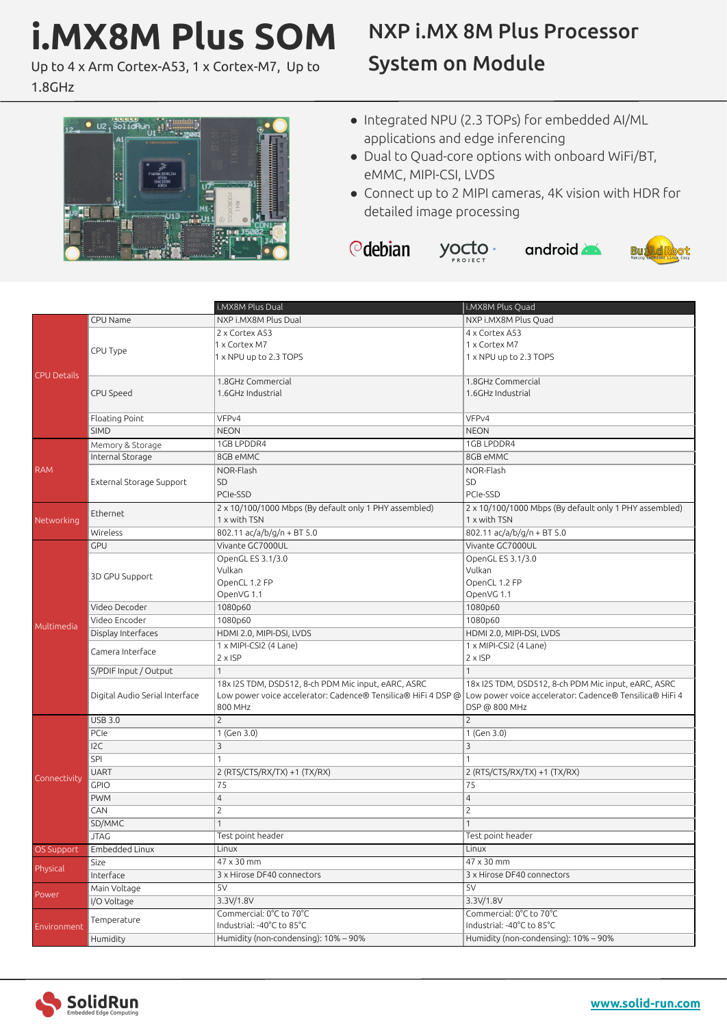# **i.MX8M Plus SOM**

Up to 4 x Arm Cortex-A53, 1 x Cortex-M7, Up to 1.8GHz

## NXP i.MX 8M Plus Processor System on Module

Hus<sup>7</sup>

- Integrated NPU (2.3 TOPs) for embedded AI/ML applications and edge inferencing
- Dual to Quad-core options with onboard WiFi/BT, eMMC, MIPI-CSI, LVDS
- Connect up to 2 MIPI cameras, 4K vision with HDR for detailed image processing

*<u></u>*debian





|                    |                                | i.MX8M Plus Dual                                                                                                      | i.MX8M Plus Quad                                       |
|--------------------|--------------------------------|-----------------------------------------------------------------------------------------------------------------------|--------------------------------------------------------|
|                    | CPU Name                       | NXP i.MX8M Plus Dual                                                                                                  | NXP i.MX8M Plus Quad                                   |
|                    |                                | 2 x Cortex A53                                                                                                        | 4 x Cortex A53                                         |
|                    |                                | 1 x Cortex M7                                                                                                         | 1 x Cortex M7                                          |
|                    | CPU Type                       | 1 x NPU up to 2.3 TOPS                                                                                                | 1 x NPU up to 2.3 TOPS                                 |
| <b>CPU Details</b> |                                |                                                                                                                       |                                                        |
|                    |                                | 1.8GHz Commercial                                                                                                     | 1.8GHz Commercial                                      |
|                    | CPU Speed                      | 1.6GHz Industrial                                                                                                     | 1.6GHz Industrial                                      |
|                    |                                |                                                                                                                       |                                                        |
|                    | Floating Point                 | VFP <sub>v4</sub>                                                                                                     | VFP <sub>v4</sub>                                      |
|                    | <b>SIMD</b>                    | <b>NEON</b>                                                                                                           | <b>NEON</b>                                            |
|                    | Memory & Storage               | 1GB LPDDR4                                                                                                            | 1GB LPDDR4                                             |
|                    | Internal Storage               | 8GB eMMC                                                                                                              | 8GB eMMC                                               |
| <b>RAM</b>         | External Storage Support       | NOR-Flash                                                                                                             | NOR-Flash                                              |
|                    |                                | SD                                                                                                                    | SD                                                     |
|                    |                                | PCIe-SSD                                                                                                              | PCIe-SSD                                               |
|                    | Ethernet                       | 2 x 10/100/1000 Mbps (By default only 1 PHY assembled)                                                                | 2 x 10/100/1000 Mbps (By default only 1 PHY assembled) |
| Networking         |                                | 1 x with TSN                                                                                                          | 1 x with TSN                                           |
|                    | Wireless                       | 802.11 ac/a/b/g/n + BT 5.0                                                                                            | 802.11 ac/a/b/g/n + BT 5.0                             |
|                    | GPU                            | Vivante GC7000UL                                                                                                      | Vivante GC7000UL                                       |
|                    |                                | OpenGL ES 3.1/3.0<br>Vulkan                                                                                           | OpenGL ES 3.1/3.0<br>Vulkan                            |
|                    | 3D GPU Support                 | OpenCL 1.2 FP                                                                                                         | OpenCL 1.2 FP                                          |
|                    |                                | OpenVG 1.1                                                                                                            | OpenVG 1.1                                             |
|                    | Video Decoder                  | 1080p60                                                                                                               | 1080p60                                                |
|                    | Video Encoder                  | 1080p60                                                                                                               | 1080p60                                                |
| Multimedia         | Display Interfaces             | HDMI 2.0, MIPI-DSI, LVDS                                                                                              | HDMI 2.0, MIPI-DSI, LVDS                               |
|                    |                                | 1 x MIPI-CSI2 (4 Lane)                                                                                                | 1 x MIPI-CSI2 (4 Lane)                                 |
|                    | Camera Interface               | $2 \times$ ISP                                                                                                        | $2 \times$ ISP                                         |
|                    | S/PDIF Input / Output          | $\mathbf{1}$                                                                                                          | $\mathbf{1}$                                           |
|                    |                                | 18x I2S TDM, DSD512, 8-ch PDM Mic input, eARC, ASRC                                                                   | 18x I2S TDM, DSD512, 8-ch PDM Mic input, eARC, ASRC    |
|                    | Digital Audio Serial Interface | Low power voice accelerator: Cadence® Tensilica® HiFi 4 DSP @ Low power voice accelerator: Cadence® Tensilica® HiFi 4 |                                                        |
|                    |                                | 800 MHz                                                                                                               | DSP @ 800 MHz                                          |
|                    | <b>USB 3.0</b>                 | $\overline{c}$                                                                                                        | $\overline{c}$                                         |
|                    | PCIe                           | 1 (Gen 3.0)                                                                                                           | 1 (Gen 3.0)                                            |
|                    | 12C                            | $\overline{3}$                                                                                                        | 3                                                      |
|                    | <b>SPI</b>                     | $\mathbf{1}$                                                                                                          |                                                        |
| Connectivity       | <b>UART</b>                    | 2 (RTS/CTS/RX/TX) +1 (TX/RX)                                                                                          | 2 (RTS/CTS/RX/TX) +1 (TX/RX)                           |
|                    | GPIO                           | 75                                                                                                                    | 75                                                     |
|                    | <b>PWM</b>                     | $\overline{4}$                                                                                                        | $\overline{4}$                                         |
|                    | CAN                            | $\overline{c}$                                                                                                        | $\overline{c}$                                         |
|                    | SD/MMC                         | $\mathbf{1}$                                                                                                          | 1                                                      |
|                    | <b>JTAG</b>                    | Test point header                                                                                                     | Test point header                                      |
| OS Support         | Embedded Linux                 | Linux                                                                                                                 | Linux                                                  |
| Physical           | Size                           | 47 x 30 mm                                                                                                            | 47 x 30 mm                                             |
|                    | Interface                      | 3 x Hirose DF40 connectors                                                                                            | 3 x Hirose DF40 connectors                             |
| Power              | Main Voltage                   | 5V                                                                                                                    | 5V                                                     |
|                    | I/O Voltage                    | 3.3V/1.8V                                                                                                             | 3.3V/1.8V                                              |
| Environment        | Temperature                    | Commercial: 0°C to 70°C                                                                                               | Commercial: 0°C to 70°C                                |
|                    |                                | Industrial: -40°C to 85°C                                                                                             | Industrial: -40°C to 85°C                              |
|                    | Humidity                       | Humidity (non-condensing): 10% - 90%                                                                                  | Humidity (non-condensing): 10% - 90%                   |